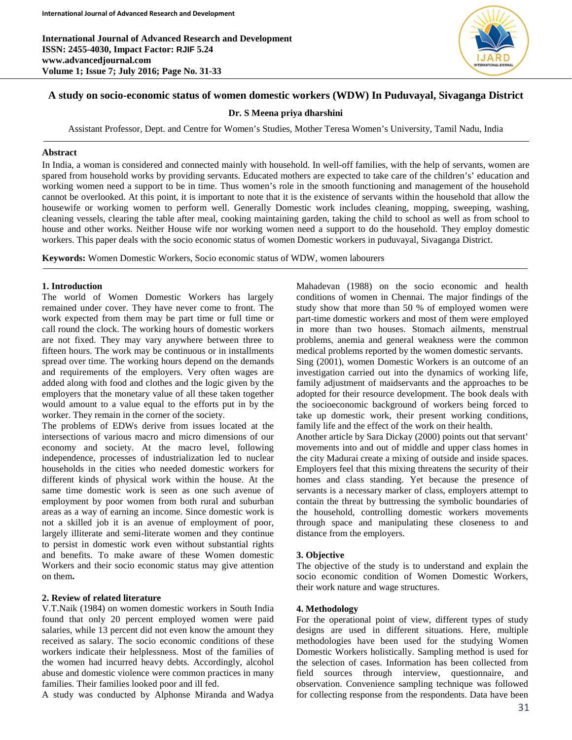

# **A study on socio-economic status of women domestic workers (WDW) In Puduvayal, Sivaganga District**

**Dr. S Meena priya dharshini**

Assistant Professor, Dept. and Centre for Women's Studies, Mother Teresa Women's University, Tamil Nadu, India

#### **Abstract**

In India, a woman is considered and connected mainly with household. In well-off families, with the help of servants, women are spared from household works by providing servants. Educated mothers are expected to take care of the children's' education and working women need a support to be in time. Thus women's role in the smooth functioning and management of the household cannot be overlooked. At this point, it is important to note that it is the existence of servants within the household that allow the housewife or working women to perform well. Generally Domestic work includes cleaning, mopping, sweeping, washing, cleaning vessels, clearing the table after meal, cooking maintaining garden, taking the child to school as well as from school to house and other works. Neither House wife nor working women need a support to do the household. They employ domestic workers. This paper deals with the socio economic status of women Domestic workers in puduvayal, Sivaganga District.

**Keywords:** Women Domestic Workers, Socio economic status of WDW, women labourers

#### **1. Introduction**

The world of Women Domestic Workers has largely remained under cover. They have never come to front. The work expected from them may be part time or full time or call round the clock. The working hours of domestic workers are not fixed. They may vary anywhere between three to fifteen hours. The work may be continuous or in installments spread over time. The working hours depend on the demands and requirements of the employers. Very often wages are added along with food and clothes and the logic given by the employers that the monetary value of all these taken together would amount to a value equal to the efforts put in by the worker. They remain in the corner of the society.

The problems of EDWs derive from issues located at the intersections of various macro and micro dimensions of our economy and society. At the macro level, following independence, processes of industrialization led to nuclear households in the cities who needed domestic workers for different kinds of physical work within the house. At the same time domestic work is seen as one such avenue of employment by poor women from both rural and suburban areas as a way of earning an income. Since domestic work is not a skilled job it is an avenue of employment of poor, largely illiterate and semi-literate women and they continue to persist in domestic work even without substantial rights and benefits. To make aware of these Women domestic Workers and their socio economic status may give attention on them**.**

## **2. Review of related literature**

V.T.Naik (1984) on women domestic workers in South India found that only 20 percent employed women were paid salaries, while 13 percent did not even know the amount they received as salary. The socio economic conditions of these workers indicate their helplessness. Most of the families of the women had incurred heavy debts. Accordingly, alcohol abuse and domestic violence were common practices in many families. Their families looked poor and ill fed.

A study was conducted by Alphonse Miranda and Wadya

Mahadevan (1988) on the socio economic and health conditions of women in Chennai. The major findings of the study show that more than 50 % of employed women were part-time domestic workers and most of them were employed in more than two houses. Stomach ailments, menstrual problems, anemia and general weakness were the common medical problems reported by the women domestic servants. Sing (2001), women Domestic Workers is an outcome of an investigation carried out into the dynamics of working life, family adjustment of maidservants and the approaches to be adopted for their resource development. The book deals with the socioeconomic background of workers being forced to take up domestic work, their present working conditions, family life and the effect of the work on their health.

Another article by Sara Dickay (2000) points out that servant' movements into and out of middle and upper class homes in the city Madurai create a mixing of outside and inside spaces. Employers feel that this mixing threatens the security of their homes and class standing. Yet because the presence of servants is a necessary marker of class, employers attempt to contain the threat by buttressing the symbolic boundaries of the household, controlling domestic workers movements through space and manipulating these closeness to and distance from the employers.

## **3. Objective**

The objective of the study is to understand and explain the socio economic condition of Women Domestic Workers, their work nature and wage structures.

### **4. Methodology**

For the operational point of view, different types of study designs are used in different situations. Here, multiple methodologies have been used for the studying Women Domestic Workers holistically. Sampling method is used for the selection of cases. Information has been collected from field sources through interview, questionnaire, and observation. Convenience sampling technique was followed for collecting response from the respondents. Data have been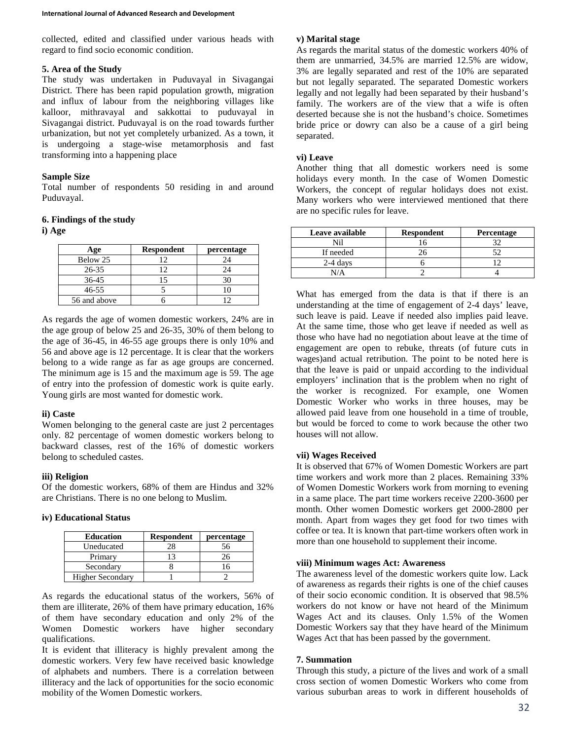collected, edited and classified under various heads with regard to find socio economic condition.

## **5. Area of the Study**

The study was undertaken in Puduvayal in Sivagangai District. There has been rapid population growth, migration and influx of labour from the neighboring villages like kalloor, mithravayal and sakkottai to puduvayal in Sivagangai district. Puduvayal is on the road towards further urbanization, but not yet completely urbanized. As a town, it is undergoing a stage-wise metamorphosis and fast transforming into a happening place

## **Sample Size**

Total number of respondents 50 residing in and around Puduvayal.

### **6. Findings of the study**

**i) Age**

| Age          | <b>Respondent</b> | percentage |
|--------------|-------------------|------------|
| Below 25     |                   | 24         |
| 26-35        |                   | 24         |
| $36-45$      |                   |            |
| 46-55        |                   |            |
| 56 and above |                   |            |

As regards the age of women domestic workers, 24% are in the age group of below 25 and 26-35, 30% of them belong to the age of 36-45, in 46-55 age groups there is only 10% and 56 and above age is 12 percentage. It is clear that the workers belong to a wide range as far as age groups are concerned. The minimum age is 15 and the maximum age is 59. The age of entry into the profession of domestic work is quite early. Young girls are most wanted for domestic work.

## **ii) Caste**

Women belonging to the general caste are just 2 percentages only. 82 percentage of women domestic workers belong to backward classes, rest of the 16% of domestic workers belong to scheduled castes.

### **iii) Religion**

Of the domestic workers, 68% of them are Hindus and 32% are Christians. There is no one belong to Muslim.

### **iv) Educational Status**

| <b>Education</b>        | <b>Respondent</b> | percentage |
|-------------------------|-------------------|------------|
| Uneducated              |                   |            |
| Primary                 |                   |            |
| Secondary               |                   |            |
| <b>Higher Secondary</b> |                   |            |

As regards the educational status of the workers, 56% of them are illiterate, 26% of them have primary education, 16% of them have secondary education and only 2% of the Women Domestic workers have higher secondary qualifications.

It is evident that illiteracy is highly prevalent among the domestic workers. Very few have received basic knowledge of alphabets and numbers. There is a correlation between illiteracy and the lack of opportunities for the socio economic mobility of the Women Domestic workers.

### **v) Marital stage**

As regards the marital status of the domestic workers 40% of them are unmarried, 34.5% are married 12.5% are widow, 3% are legally separated and rest of the 10% are separated but not legally separated. The separated Domestic workers legally and not legally had been separated by their husband's family. The workers are of the view that a wife is often deserted because she is not the husband's choice. Sometimes bride price or dowry can also be a cause of a girl being separated.

### **vi) Leave**

Another thing that all domestic workers need is some holidays every month. In the case of Women Domestic Workers, the concept of regular holidays does not exist. Many workers who were interviewed mentioned that there are no specific rules for leave.

| Leave available | <b>Respondent</b> | Percentage |
|-----------------|-------------------|------------|
| Лï              |                   |            |
| If needed       |                   |            |
| $2-4$ days      |                   |            |
|                 |                   |            |

What has emerged from the data is that if there is an understanding at the time of engagement of 2-4 days' leave, such leave is paid. Leave if needed also implies paid leave. At the same time, those who get leave if needed as well as those who have had no negotiation about leave at the time of engagement are open to rebuke, threats (of future cuts in wages)and actual retribution. The point to be noted here is that the leave is paid or unpaid according to the individual employers' inclination that is the problem when no right of the worker is recognized. For example, one Women Domestic Worker who works in three houses, may be allowed paid leave from one household in a time of trouble, but would be forced to come to work because the other two houses will not allow.

## **vii) Wages Received**

It is observed that 67% of Women Domestic Workers are part time workers and work more than 2 places. Remaining 33% of Women Domestic Workers work from morning to evening in a same place. The part time workers receive 2200-3600 per month. Other women Domestic workers get 2000-2800 per month. Apart from wages they get food for two times with coffee or tea. It is known that part-time workers often work in more than one household to supplement their income.

## **viii) Minimum wages Act: Awareness**

The awareness level of the domestic workers quite low. Lack of awareness as regards their rights is one of the chief causes of their socio economic condition. It is observed that 98.5% workers do not know or have not heard of the Minimum Wages Act and its clauses. Only 1.5% of the Women Domestic Workers say that they have heard of the Minimum Wages Act that has been passed by the government.

### **7. Summation**

Through this study, a picture of the lives and work of a small cross section of women Domestic Workers who come from various suburban areas to work in different households of